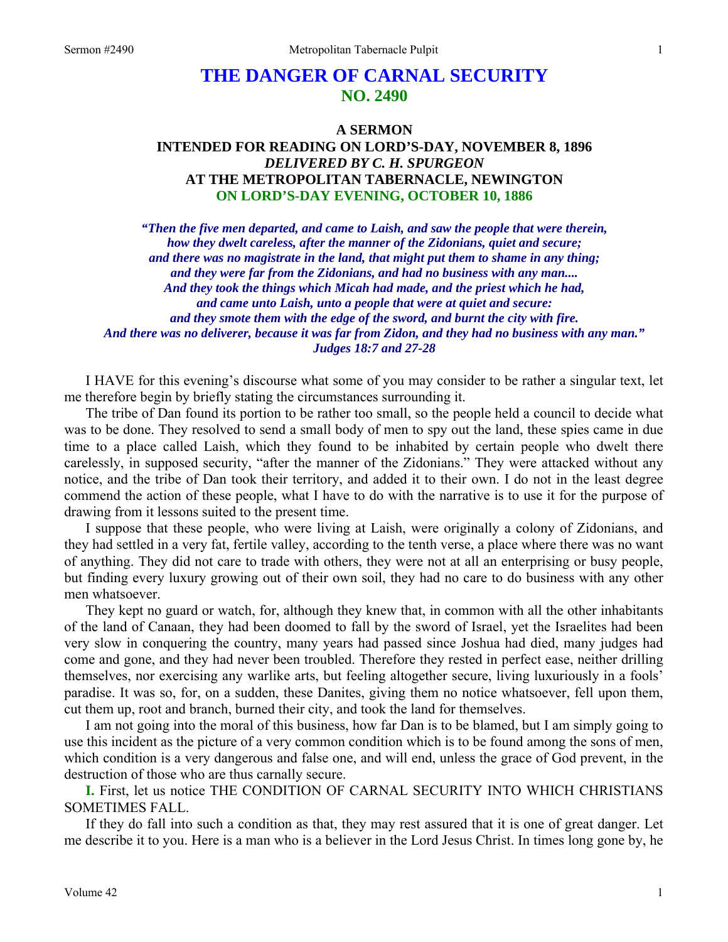# **THE DANGER OF CARNAL SECURITY NO. 2490**

## **A SERMON INTENDED FOR READING ON LORD'S-DAY, NOVEMBER 8, 1896**  *DELIVERED BY C. H. SPURGEON*  **AT THE METROPOLITAN TABERNACLE, NEWINGTON ON LORD'S-DAY EVENING, OCTOBER 10, 1886**

*"Then the five men departed, and came to Laish, and saw the people that were therein, how they dwelt careless, after the manner of the Zidonians, quiet and secure; and there was no magistrate in the land, that might put them to shame in any thing; and they were far from the Zidonians, and had no business with any man.... And they took the things which Micah had made, and the priest which he had, and came unto Laish, unto a people that were at quiet and secure: and they smote them with the edge of the sword, and burnt the city with fire. And there was no deliverer, because it was far from Zidon, and they had no business with any man." Judges 18:7 and 27-28* 

I HAVE for this evening's discourse what some of you may consider to be rather a singular text, let me therefore begin by briefly stating the circumstances surrounding it.

The tribe of Dan found its portion to be rather too small, so the people held a council to decide what was to be done. They resolved to send a small body of men to spy out the land, these spies came in due time to a place called Laish, which they found to be inhabited by certain people who dwelt there carelessly, in supposed security, "after the manner of the Zidonians." They were attacked without any notice, and the tribe of Dan took their territory, and added it to their own. I do not in the least degree commend the action of these people, what I have to do with the narrative is to use it for the purpose of drawing from it lessons suited to the present time.

I suppose that these people, who were living at Laish, were originally a colony of Zidonians, and they had settled in a very fat, fertile valley, according to the tenth verse, a place where there was no want of anything. They did not care to trade with others, they were not at all an enterprising or busy people, but finding every luxury growing out of their own soil, they had no care to do business with any other men whatsoever.

They kept no guard or watch, for, although they knew that, in common with all the other inhabitants of the land of Canaan, they had been doomed to fall by the sword of Israel, yet the Israelites had been very slow in conquering the country, many years had passed since Joshua had died, many judges had come and gone, and they had never been troubled. Therefore they rested in perfect ease, neither drilling themselves, nor exercising any warlike arts, but feeling altogether secure, living luxuriously in a fools' paradise. It was so, for, on a sudden, these Danites, giving them no notice whatsoever, fell upon them, cut them up, root and branch, burned their city, and took the land for themselves.

I am not going into the moral of this business, how far Dan is to be blamed, but I am simply going to use this incident as the picture of a very common condition which is to be found among the sons of men, which condition is a very dangerous and false one, and will end, unless the grace of God prevent, in the destruction of those who are thus carnally secure.

**I.** First, let us notice THE CONDITION OF CARNAL SECURITY INTO WHICH CHRISTIANS SOMETIMES FALL.

If they do fall into such a condition as that, they may rest assured that it is one of great danger. Let me describe it to you. Here is a man who is a believer in the Lord Jesus Christ. In times long gone by, he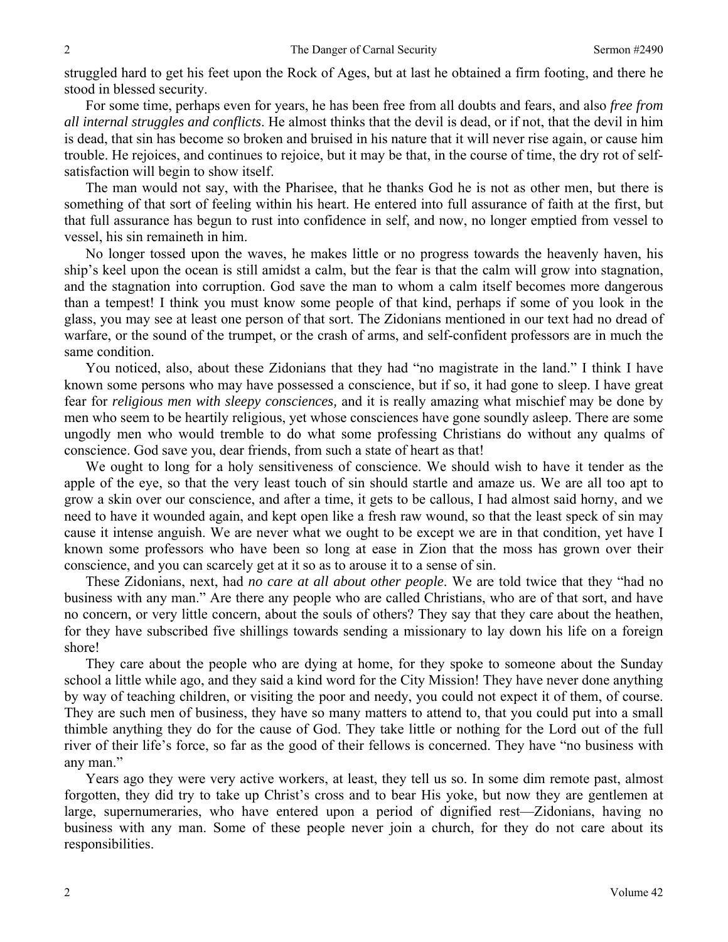struggled hard to get his feet upon the Rock of Ages, but at last he obtained a firm footing, and there he stood in blessed security.

For some time, perhaps even for years, he has been free from all doubts and fears, and also *free from all internal struggles and conflicts*. He almost thinks that the devil is dead, or if not, that the devil in him is dead, that sin has become so broken and bruised in his nature that it will never rise again, or cause him trouble. He rejoices, and continues to rejoice, but it may be that, in the course of time, the dry rot of selfsatisfaction will begin to show itself.

The man would not say, with the Pharisee, that he thanks God he is not as other men, but there is something of that sort of feeling within his heart. He entered into full assurance of faith at the first, but that full assurance has begun to rust into confidence in self, and now, no longer emptied from vessel to vessel, his sin remaineth in him.

No longer tossed upon the waves, he makes little or no progress towards the heavenly haven, his ship's keel upon the ocean is still amidst a calm, but the fear is that the calm will grow into stagnation, and the stagnation into corruption. God save the man to whom a calm itself becomes more dangerous than a tempest! I think you must know some people of that kind, perhaps if some of you look in the glass, you may see at least one person of that sort. The Zidonians mentioned in our text had no dread of warfare, or the sound of the trumpet, or the crash of arms, and self-confident professors are in much the same condition.

You noticed, also, about these Zidonians that they had "no magistrate in the land." I think I have known some persons who may have possessed a conscience, but if so, it had gone to sleep. I have great fear for *religious men with sleepy consciences,* and it is really amazing what mischief may be done by men who seem to be heartily religious, yet whose consciences have gone soundly asleep. There are some ungodly men who would tremble to do what some professing Christians do without any qualms of conscience. God save you, dear friends, from such a state of heart as that!

We ought to long for a holy sensitiveness of conscience. We should wish to have it tender as the apple of the eye, so that the very least touch of sin should startle and amaze us. We are all too apt to grow a skin over our conscience, and after a time, it gets to be callous, I had almost said horny, and we need to have it wounded again, and kept open like a fresh raw wound, so that the least speck of sin may cause it intense anguish. We are never what we ought to be except we are in that condition, yet have I known some professors who have been so long at ease in Zion that the moss has grown over their conscience, and you can scarcely get at it so as to arouse it to a sense of sin.

These Zidonians, next, had *no care at all about other people*. We are told twice that they "had no business with any man." Are there any people who are called Christians, who are of that sort, and have no concern, or very little concern, about the souls of others? They say that they care about the heathen, for they have subscribed five shillings towards sending a missionary to lay down his life on a foreign shore!

They care about the people who are dying at home, for they spoke to someone about the Sunday school a little while ago, and they said a kind word for the City Mission! They have never done anything by way of teaching children, or visiting the poor and needy, you could not expect it of them, of course. They are such men of business, they have so many matters to attend to, that you could put into a small thimble anything they do for the cause of God. They take little or nothing for the Lord out of the full river of their life's force, so far as the good of their fellows is concerned. They have "no business with any man."

Years ago they were very active workers, at least, they tell us so. In some dim remote past, almost forgotten, they did try to take up Christ's cross and to bear His yoke, but now they are gentlemen at large, supernumeraries, who have entered upon a period of dignified rest—Zidonians, having no business with any man. Some of these people never join a church, for they do not care about its responsibilities.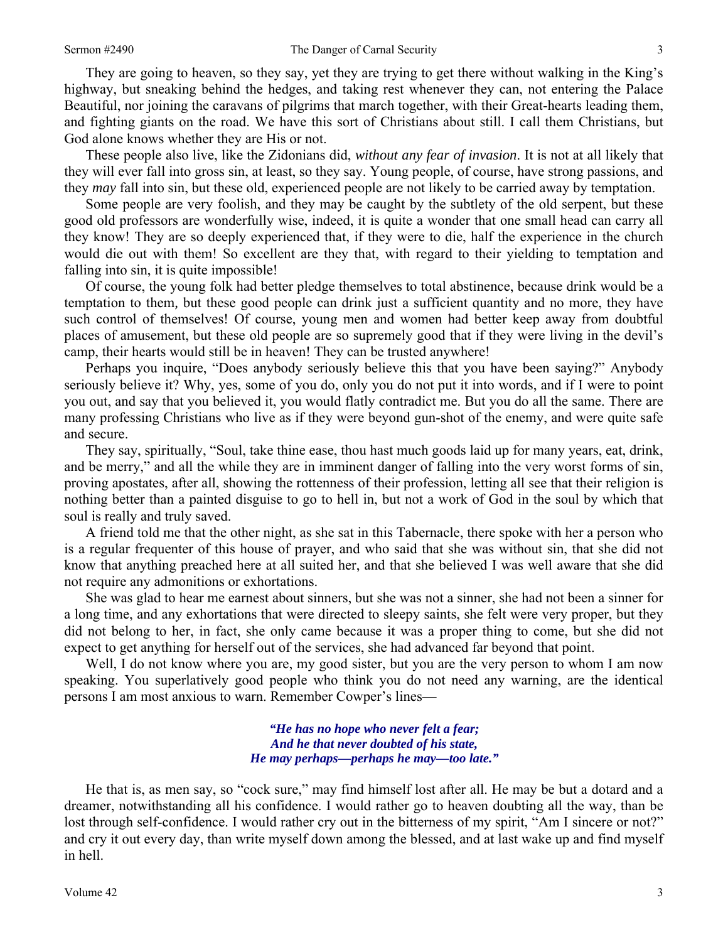They are going to heaven, so they say, yet they are trying to get there without walking in the King's highway, but sneaking behind the hedges, and taking rest whenever they can, not entering the Palace Beautiful, nor joining the caravans of pilgrims that march together, with their Great-hearts leading them, and fighting giants on the road. We have this sort of Christians about still. I call them Christians, but God alone knows whether they are His or not.

These people also live, like the Zidonians did, *without any fear of invasion*. It is not at all likely that they will ever fall into gross sin, at least, so they say. Young people, of course, have strong passions, and they *may* fall into sin, but these old, experienced people are not likely to be carried away by temptation.

Some people are very foolish, and they may be caught by the subtlety of the old serpent, but these good old professors are wonderfully wise, indeed, it is quite a wonder that one small head can carry all they know! They are so deeply experienced that, if they were to die, half the experience in the church would die out with them! So excellent are they that, with regard to their yielding to temptation and falling into sin, it is quite impossible!

Of course, the young folk had better pledge themselves to total abstinence, because drink would be a temptation to them*,* but these good people can drink just a sufficient quantity and no more, they have such control of themselves! Of course, young men and women had better keep away from doubtful places of amusement, but these old people are so supremely good that if they were living in the devil's camp, their hearts would still be in heaven! They can be trusted anywhere!

Perhaps you inquire, "Does anybody seriously believe this that you have been saying?" Anybody seriously believe it? Why, yes, some of you do, only you do not put it into words, and if I were to point you out, and say that you believed it, you would flatly contradict me. But you do all the same. There are many professing Christians who live as if they were beyond gun-shot of the enemy, and were quite safe and secure.

They say, spiritually, "Soul, take thine ease, thou hast much goods laid up for many years, eat, drink, and be merry," and all the while they are in imminent danger of falling into the very worst forms of sin, proving apostates, after all, showing the rottenness of their profession, letting all see that their religion is nothing better than a painted disguise to go to hell in, but not a work of God in the soul by which that soul is really and truly saved.

A friend told me that the other night, as she sat in this Tabernacle, there spoke with her a person who is a regular frequenter of this house of prayer, and who said that she was without sin, that she did not know that anything preached here at all suited her, and that she believed I was well aware that she did not require any admonitions or exhortations.

She was glad to hear me earnest about sinners, but she was not a sinner, she had not been a sinner for a long time, and any exhortations that were directed to sleepy saints, she felt were very proper, but they did not belong to her, in fact, she only came because it was a proper thing to come, but she did not expect to get anything for herself out of the services, she had advanced far beyond that point.

Well, I do not know where you are, my good sister, but you are the very person to whom I am now speaking. You superlatively good people who think you do not need any warning, are the identical persons I am most anxious to warn. Remember Cowper's lines—

> *"He has no hope who never felt a fear; And he that never doubted of his state, He may perhaps—perhaps he may—too late."*

He that is, as men say, so "cock sure," may find himself lost after all. He may be but a dotard and a dreamer, notwithstanding all his confidence. I would rather go to heaven doubting all the way, than be lost through self-confidence. I would rather cry out in the bitterness of my spirit, "Am I sincere or not?" and cry it out every day, than write myself down among the blessed, and at last wake up and find myself in hell.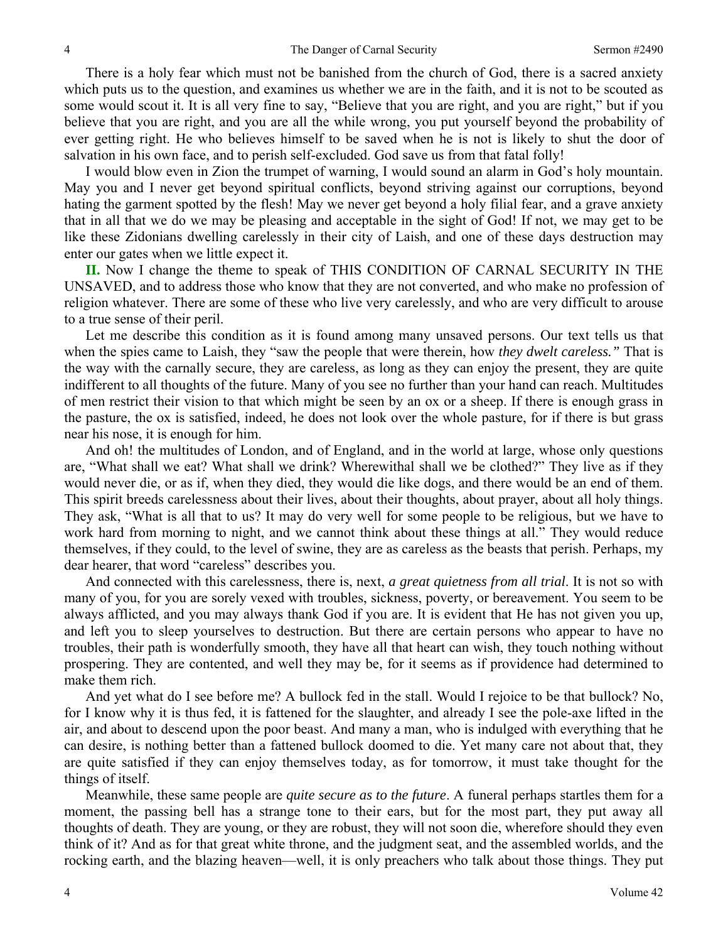There is a holy fear which must not be banished from the church of God, there is a sacred anxiety which puts us to the question, and examines us whether we are in the faith, and it is not to be scouted as some would scout it. It is all very fine to say, "Believe that you are right, and you are right," but if you believe that you are right, and you are all the while wrong, you put yourself beyond the probability of ever getting right. He who believes himself to be saved when he is not is likely to shut the door of salvation in his own face, and to perish self-excluded. God save us from that fatal folly!

I would blow even in Zion the trumpet of warning, I would sound an alarm in God's holy mountain. May you and I never get beyond spiritual conflicts, beyond striving against our corruptions, beyond hating the garment spotted by the flesh! May we never get beyond a holy filial fear, and a grave anxiety that in all that we do we may be pleasing and acceptable in the sight of God! If not, we may get to be like these Zidonians dwelling carelessly in their city of Laish, and one of these days destruction may enter our gates when we little expect it.

**II.** Now I change the theme to speak of THIS CONDITION OF CARNAL SECURITY IN THE UNSAVED, and to address those who know that they are not converted, and who make no profession of religion whatever. There are some of these who live very carelessly, and who are very difficult to arouse to a true sense of their peril.

Let me describe this condition as it is found among many unsaved persons. Our text tells us that when the spies came to Laish, they "saw the people that were therein, how *they dwelt careless."* That is the way with the carnally secure, they are careless, as long as they can enjoy the present, they are quite indifferent to all thoughts of the future. Many of you see no further than your hand can reach. Multitudes of men restrict their vision to that which might be seen by an ox or a sheep. If there is enough grass in the pasture, the ox is satisfied, indeed, he does not look over the whole pasture, for if there is but grass near his nose, it is enough for him.

And oh! the multitudes of London, and of England, and in the world at large, whose only questions are, "What shall we eat? What shall we drink? Wherewithal shall we be clothed?" They live as if they would never die, or as if, when they died, they would die like dogs, and there would be an end of them. This spirit breeds carelessness about their lives, about their thoughts, about prayer, about all holy things. They ask, "What is all that to us? It may do very well for some people to be religious, but we have to work hard from morning to night, and we cannot think about these things at all." They would reduce themselves, if they could, to the level of swine, they are as careless as the beasts that perish. Perhaps, my dear hearer, that word "careless" describes you.

And connected with this carelessness, there is, next, *a great quietness from all trial*. It is not so with many of you, for you are sorely vexed with troubles, sickness, poverty, or bereavement. You seem to be always afflicted, and you may always thank God if you are. It is evident that He has not given you up, and left you to sleep yourselves to destruction. But there are certain persons who appear to have no troubles, their path is wonderfully smooth, they have all that heart can wish, they touch nothing without prospering. They are contented, and well they may be, for it seems as if providence had determined to make them rich.

And yet what do I see before me? A bullock fed in the stall. Would I rejoice to be that bullock? No, for I know why it is thus fed, it is fattened for the slaughter, and already I see the pole-axe lifted in the air, and about to descend upon the poor beast. And many a man, who is indulged with everything that he can desire, is nothing better than a fattened bullock doomed to die. Yet many care not about that, they are quite satisfied if they can enjoy themselves today, as for tomorrow, it must take thought for the things of itself.

Meanwhile, these same people are *quite secure as to the future*. A funeral perhaps startles them for a moment, the passing bell has a strange tone to their ears, but for the most part, they put away all thoughts of death. They are young, or they are robust, they will not soon die, wherefore should they even think of it? And as for that great white throne, and the judgment seat, and the assembled worlds, and the rocking earth, and the blazing heaven—well, it is only preachers who talk about those things. They put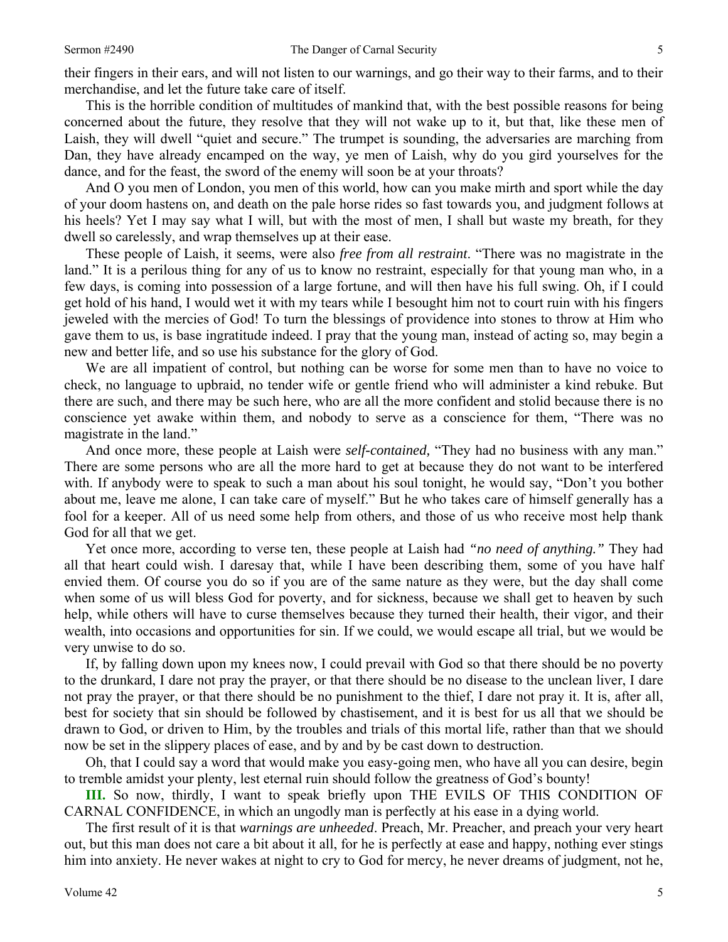their fingers in their ears, and will not listen to our warnings, and go their way to their farms, and to their merchandise, and let the future take care of itself.

This is the horrible condition of multitudes of mankind that, with the best possible reasons for being concerned about the future, they resolve that they will not wake up to it, but that, like these men of Laish, they will dwell "quiet and secure." The trumpet is sounding, the adversaries are marching from Dan, they have already encamped on the way, ye men of Laish, why do you gird yourselves for the dance, and for the feast, the sword of the enemy will soon be at your throats?

And O you men of London, you men of this world, how can you make mirth and sport while the day of your doom hastens on, and death on the pale horse rides so fast towards you, and judgment follows at his heels? Yet I may say what I will, but with the most of men, I shall but waste my breath, for they dwell so carelessly, and wrap themselves up at their ease.

These people of Laish, it seems, were also *free from all restraint*. "There was no magistrate in the land." It is a perilous thing for any of us to know no restraint, especially for that young man who, in a few days, is coming into possession of a large fortune, and will then have his full swing. Oh, if I could get hold of his hand, I would wet it with my tears while I besought him not to court ruin with his fingers jeweled with the mercies of God! To turn the blessings of providence into stones to throw at Him who gave them to us, is base ingratitude indeed. I pray that the young man, instead of acting so, may begin a new and better life, and so use his substance for the glory of God.

We are all impatient of control, but nothing can be worse for some men than to have no voice to check, no language to upbraid, no tender wife or gentle friend who will administer a kind rebuke. But there are such, and there may be such here, who are all the more confident and stolid because there is no conscience yet awake within them, and nobody to serve as a conscience for them, "There was no magistrate in the land."

And once more, these people at Laish were *self-contained,* "They had no business with any man." There are some persons who are all the more hard to get at because they do not want to be interfered with. If anybody were to speak to such a man about his soul tonight, he would say, "Don't you bother about me, leave me alone, I can take care of myself." But he who takes care of himself generally has a fool for a keeper. All of us need some help from others, and those of us who receive most help thank God for all that we get.

Yet once more, according to verse ten, these people at Laish had *"no need of anything."* They had all that heart could wish. I daresay that, while I have been describing them, some of you have half envied them. Of course you do so if you are of the same nature as they were, but the day shall come when some of us will bless God for poverty, and for sickness, because we shall get to heaven by such help, while others will have to curse themselves because they turned their health, their vigor, and their wealth, into occasions and opportunities for sin. If we could, we would escape all trial, but we would be very unwise to do so.

If, by falling down upon my knees now, I could prevail with God so that there should be no poverty to the drunkard, I dare not pray the prayer, or that there should be no disease to the unclean liver, I dare not pray the prayer, or that there should be no punishment to the thief, I dare not pray it. It is, after all, best for society that sin should be followed by chastisement, and it is best for us all that we should be drawn to God, or driven to Him, by the troubles and trials of this mortal life, rather than that we should now be set in the slippery places of ease, and by and by be cast down to destruction.

Oh, that I could say a word that would make you easy-going men, who have all you can desire, begin to tremble amidst your plenty, lest eternal ruin should follow the greatness of God's bounty!

**III.** So now, thirdly, I want to speak briefly upon THE EVILS OF THIS CONDITION OF CARNAL CONFIDENCE, in which an ungodly man is perfectly at his ease in a dying world.

The first result of it is that *warnings are unheeded*. Preach, Mr. Preacher, and preach your very heart out, but this man does not care a bit about it all, for he is perfectly at ease and happy, nothing ever stings him into anxiety. He never wakes at night to cry to God for mercy, he never dreams of judgment, not he,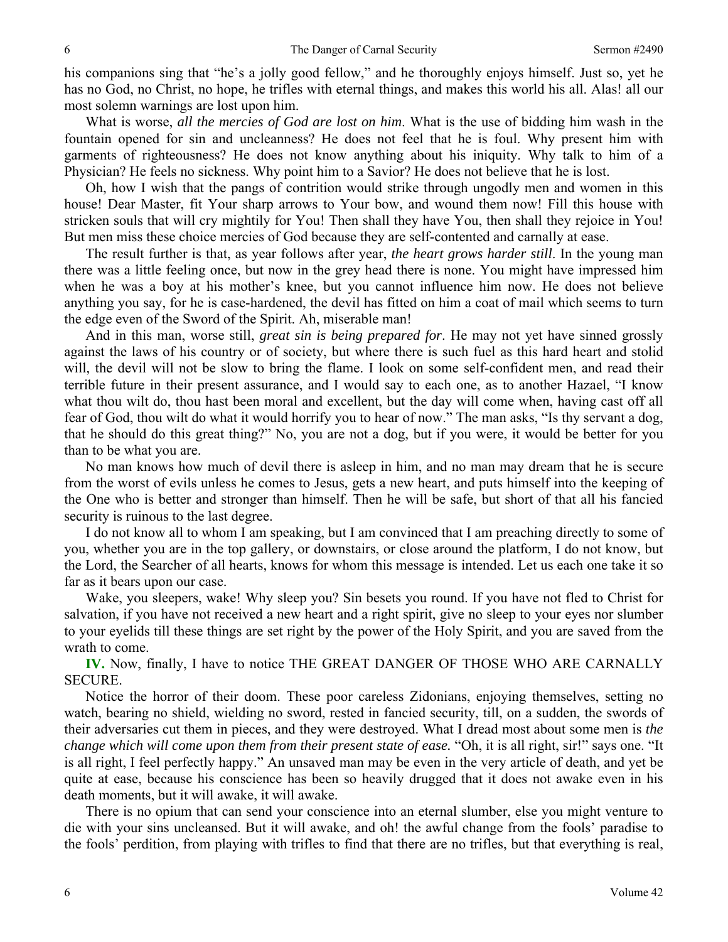his companions sing that "he's a jolly good fellow," and he thoroughly enjoys himself. Just so, yet he has no God, no Christ, no hope, he trifles with eternal things, and makes this world his all. Alas! all our most solemn warnings are lost upon him.

What is worse, *all the mercies of God are lost on him*. What is the use of bidding him wash in the fountain opened for sin and uncleanness? He does not feel that he is foul. Why present him with garments of righteousness? He does not know anything about his iniquity. Why talk to him of a Physician? He feels no sickness. Why point him to a Savior? He does not believe that he is lost.

Oh, how I wish that the pangs of contrition would strike through ungodly men and women in this house! Dear Master, fit Your sharp arrows to Your bow, and wound them now! Fill this house with stricken souls that will cry mightily for You! Then shall they have You, then shall they rejoice in You! But men miss these choice mercies of God because they are self-contented and carnally at ease.

The result further is that, as year follows after year, *the heart grows harder still*. In the young man there was a little feeling once, but now in the grey head there is none. You might have impressed him when he was a boy at his mother's knee, but you cannot influence him now. He does not believe anything you say, for he is case-hardened, the devil has fitted on him a coat of mail which seems to turn the edge even of the Sword of the Spirit. Ah, miserable man!

And in this man, worse still, *great sin is being prepared for*. He may not yet have sinned grossly against the laws of his country or of society, but where there is such fuel as this hard heart and stolid will, the devil will not be slow to bring the flame. I look on some self-confident men, and read their terrible future in their present assurance, and I would say to each one, as to another Hazael, "I know what thou wilt do, thou hast been moral and excellent, but the day will come when, having cast off all fear of God, thou wilt do what it would horrify you to hear of now." The man asks, "Is thy servant a dog, that he should do this great thing?" No, you are not a dog, but if you were, it would be better for you than to be what you are.

No man knows how much of devil there is asleep in him, and no man may dream that he is secure from the worst of evils unless he comes to Jesus, gets a new heart, and puts himself into the keeping of the One who is better and stronger than himself. Then he will be safe, but short of that all his fancied security is ruinous to the last degree.

I do not know all to whom I am speaking, but I am convinced that I am preaching directly to some of you, whether you are in the top gallery, or downstairs, or close around the platform, I do not know, but the Lord, the Searcher of all hearts, knows for whom this message is intended. Let us each one take it so far as it bears upon our case.

Wake, you sleepers, wake! Why sleep you? Sin besets you round. If you have not fled to Christ for salvation, if you have not received a new heart and a right spirit, give no sleep to your eyes nor slumber to your eyelids till these things are set right by the power of the Holy Spirit, and you are saved from the wrath to come.

**IV.** Now, finally, I have to notice THE GREAT DANGER OF THOSE WHO ARE CARNALLY SECURE.

Notice the horror of their doom. These poor careless Zidonians, enjoying themselves, setting no watch, bearing no shield, wielding no sword, rested in fancied security, till, on a sudden, the swords of their adversaries cut them in pieces, and they were destroyed. What I dread most about some men is *the change which will come upon them from their present state of ease.* "Oh, it is all right, sir!" says one. "It is all right, I feel perfectly happy." An unsaved man may be even in the very article of death, and yet be quite at ease, because his conscience has been so heavily drugged that it does not awake even in his death moments, but it will awake, it will awake.

There is no opium that can send your conscience into an eternal slumber, else you might venture to die with your sins uncleansed. But it will awake, and oh! the awful change from the fools' paradise to the fools' perdition, from playing with trifles to find that there are no trifles, but that everything is real,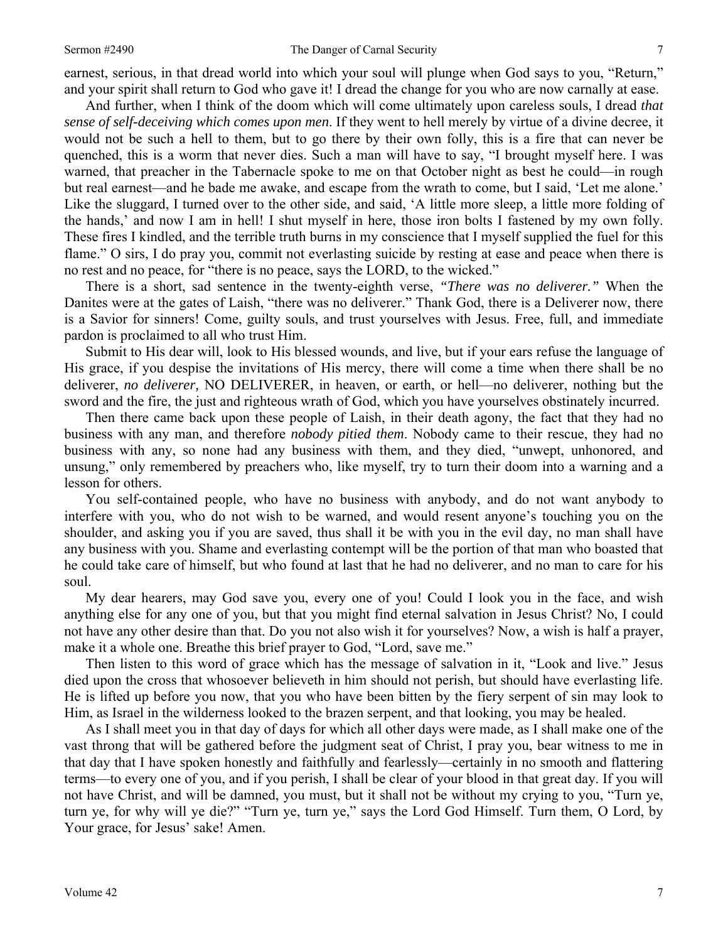earnest, serious, in that dread world into which your soul will plunge when God says to you, "Return," and your spirit shall return to God who gave it! I dread the change for you who are now carnally at ease.

And further, when I think of the doom which will come ultimately upon careless souls, I dread *that sense of self-deceiving which comes upon men*. If they went to hell merely by virtue of a divine decree, it would not be such a hell to them, but to go there by their own folly, this is a fire that can never be quenched, this is a worm that never dies. Such a man will have to say, "I brought myself here. I was warned, that preacher in the Tabernacle spoke to me on that October night as best he could—in rough but real earnest—and he bade me awake, and escape from the wrath to come, but I said, 'Let me alone.' Like the sluggard, I turned over to the other side, and said, 'A little more sleep, a little more folding of the hands,' and now I am in hell! I shut myself in here, those iron bolts I fastened by my own folly. These fires I kindled, and the terrible truth burns in my conscience that I myself supplied the fuel for this flame." O sirs, I do pray you, commit not everlasting suicide by resting at ease and peace when there is no rest and no peace, for "there is no peace, says the LORD, to the wicked."

There is a short, sad sentence in the twenty-eighth verse, *"There was no deliverer."* When the Danites were at the gates of Laish, "there was no deliverer." Thank God, there is a Deliverer now, there is a Savior for sinners! Come, guilty souls, and trust yourselves with Jesus. Free, full, and immediate pardon is proclaimed to all who trust Him.

Submit to His dear will, look to His blessed wounds, and live, but if your ears refuse the language of His grace, if you despise the invitations of His mercy, there will come a time when there shall be no deliverer, *no deliverer,* NO DELIVERER, in heaven, or earth, or hell—no deliverer, nothing but the sword and the fire, the just and righteous wrath of God, which you have yourselves obstinately incurred.

Then there came back upon these people of Laish, in their death agony, the fact that they had no business with any man, and therefore *nobody pitied them*. Nobody came to their rescue, they had no business with any, so none had any business with them, and they died, "unwept, unhonored, and unsung," only remembered by preachers who, like myself, try to turn their doom into a warning and a lesson for others.

You self-contained people, who have no business with anybody, and do not want anybody to interfere with you, who do not wish to be warned, and would resent anyone's touching you on the shoulder, and asking you if you are saved, thus shall it be with you in the evil day, no man shall have any business with you. Shame and everlasting contempt will be the portion of that man who boasted that he could take care of himself, but who found at last that he had no deliverer, and no man to care for his soul.

My dear hearers, may God save you, every one of you! Could I look you in the face, and wish anything else for any one of you, but that you might find eternal salvation in Jesus Christ? No, I could not have any other desire than that. Do you not also wish it for yourselves? Now, a wish is half a prayer, make it a whole one. Breathe this brief prayer to God, "Lord, save me."

Then listen to this word of grace which has the message of salvation in it, "Look and live." Jesus died upon the cross that whosoever believeth in him should not perish, but should have everlasting life. He is lifted up before you now, that you who have been bitten by the fiery serpent of sin may look to Him, as Israel in the wilderness looked to the brazen serpent, and that looking, you may be healed.

As I shall meet you in that day of days for which all other days were made, as I shall make one of the vast throng that will be gathered before the judgment seat of Christ, I pray you, bear witness to me in that day that I have spoken honestly and faithfully and fearlessly—certainly in no smooth and flattering terms—to every one of you, and if you perish, I shall be clear of your blood in that great day. If you will not have Christ, and will be damned, you must, but it shall not be without my crying to you, "Turn ye, turn ye, for why will ye die?" "Turn ye, turn ye," says the Lord God Himself. Turn them, O Lord, by Your grace, for Jesus' sake! Amen.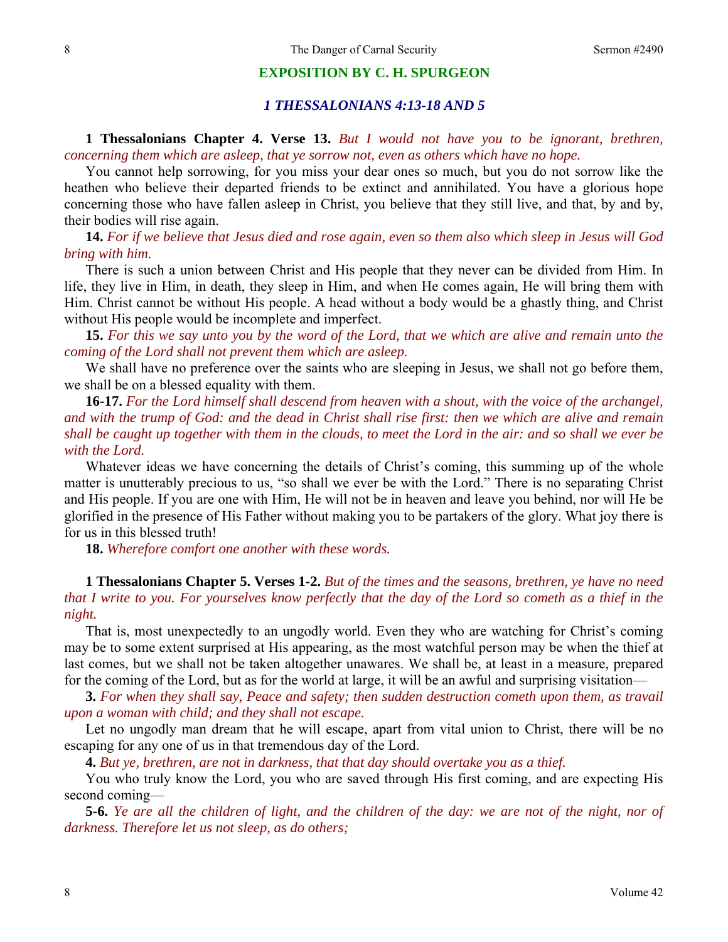#### **EXPOSITION BY C. H. SPURGEON**

## *1 THESSALONIANS 4:13-18 AND 5*

## **1 Thessalonians Chapter 4. Verse 13.** *But I would not have you to be ignorant, brethren, concerning them which are asleep, that ye sorrow not, even as others which have no hope.*

You cannot help sorrowing, for you miss your dear ones so much, but you do not sorrow like the heathen who believe their departed friends to be extinct and annihilated. You have a glorious hope concerning those who have fallen asleep in Christ, you believe that they still live, and that, by and by, their bodies will rise again.

**14.** *For if we believe that Jesus died and rose again, even so them also which sleep in Jesus will God bring with him.*

There is such a union between Christ and His people that they never can be divided from Him. In life, they live in Him, in death, they sleep in Him, and when He comes again, He will bring them with Him. Christ cannot be without His people. A head without a body would be a ghastly thing, and Christ without His people would be incomplete and imperfect.

**15.** *For this we say unto you by the word of the Lord, that we which are alive and remain unto the coming of the Lord shall not prevent them which are asleep.*

We shall have no preference over the saints who are sleeping in Jesus, we shall not go before them, we shall be on a blessed equality with them.

**16-17.** *For the Lord himself shall descend from heaven with a shout, with the voice of the archangel, and with the trump of God: and the dead in Christ shall rise first: then we which are alive and remain shall be caught up together with them in the clouds, to meet the Lord in the air: and so shall we ever be with the Lord.*

Whatever ideas we have concerning the details of Christ's coming, this summing up of the whole matter is unutterably precious to us, "so shall we ever be with the Lord." There is no separating Christ and His people. If you are one with Him, He will not be in heaven and leave you behind, nor will He be glorified in the presence of His Father without making you to be partakers of the glory. What joy there is for us in this blessed truth!

**18.** *Wherefore comfort one another with these words.* 

**1 Thessalonians Chapter 5. Verses 1-2.** *But of the times and the seasons, brethren, ye have no need that I write to you. For yourselves know perfectly that the day of the Lord so cometh as a thief in the night.* 

That is, most unexpectedly to an ungodly world. Even they who are watching for Christ's coming may be to some extent surprised at His appearing, as the most watchful person may be when the thief at last comes, but we shall not be taken altogether unawares. We shall be, at least in a measure, prepared for the coming of the Lord, but as for the world at large, it will be an awful and surprising visitation—

**3.** *For when they shall say, Peace and safety; then sudden destruction cometh upon them, as travail upon a woman with child; and they shall not escape.*

Let no ungodly man dream that he will escape, apart from vital union to Christ, there will be no escaping for any one of us in that tremendous day of the Lord.

**4.** *But ye, brethren, are not in darkness, that that day should overtake you as a thief.*

You who truly know the Lord, you who are saved through His first coming, and are expecting His second coming—

**5-6.** *Ye are all the children of light, and the children of the day: we are not of the night, nor of darkness. Therefore let us not sleep, as do others;*